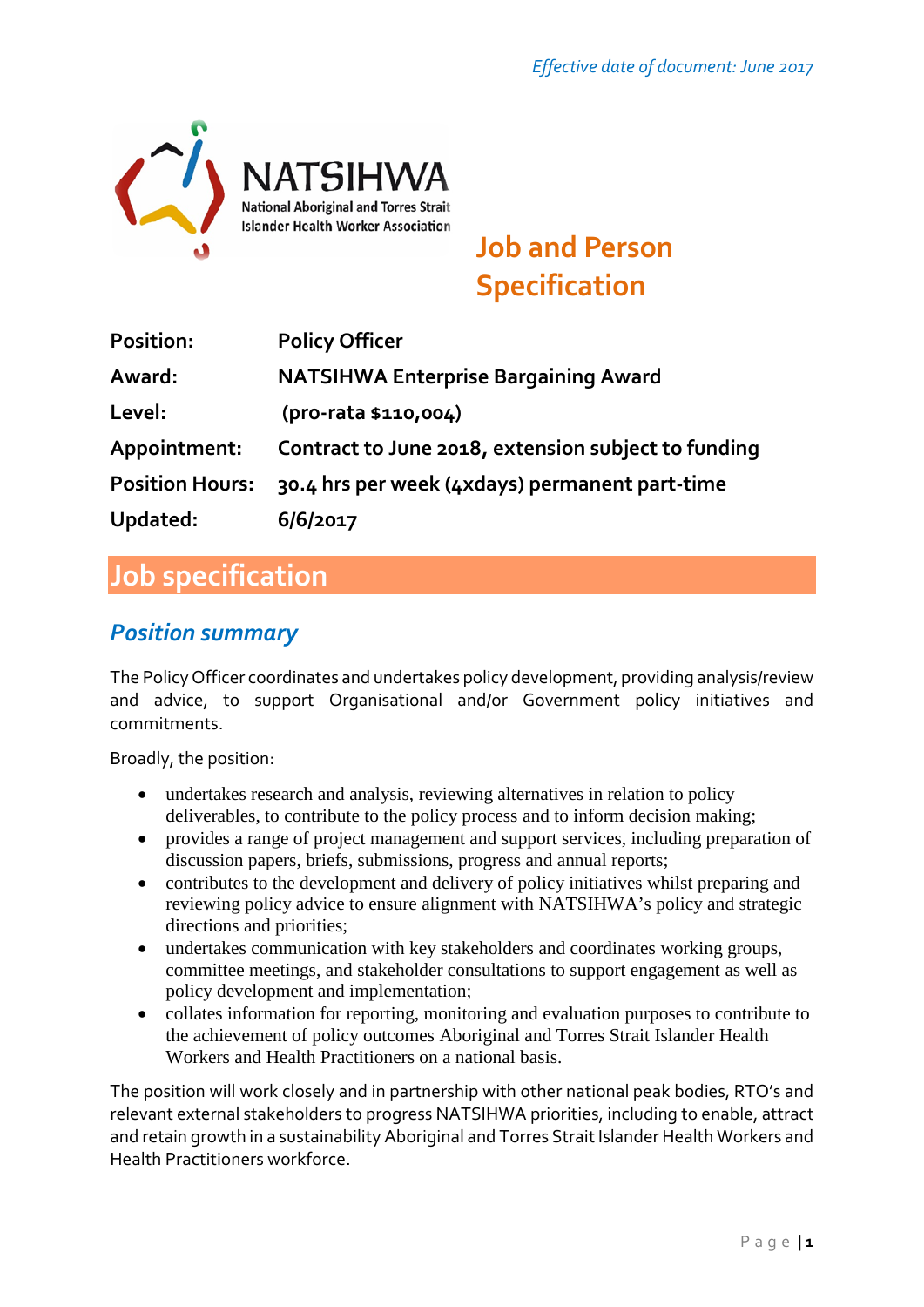

# **Job and Person Specification**

| Position:              | <b>Policy Officer</b>                               |
|------------------------|-----------------------------------------------------|
| Award:                 | <b>NATSIHWA Enterprise Bargaining Award</b>         |
| Level:                 | (pro-rata \$110,004)                                |
| Appointment:           | Contract to June 2018, extension subject to funding |
| <b>Position Hours:</b> | 30.4 hrs per week (4xdays) permanent part-time      |
| Updated:               | 6/6/2017                                            |

## **Job specification**

### *Position summary*

The Policy Officer coordinates and undertakes policy development, providing analysis/review and advice, to support Organisational and/or Government policy initiatives and commitments.

Broadly, the position:

- undertakes research and analysis, reviewing alternatives in relation to policy deliverables, to contribute to the policy process and to inform decision making;
- provides a range of project management and support services, including preparation of discussion papers, briefs, submissions, progress and annual reports;
- contributes to the development and delivery of policy initiatives whilst preparing and reviewing policy advice to ensure alignment with NATSIHWA's policy and strategic directions and priorities;
- undertakes communication with key stakeholders and coordinates working groups, committee meetings, and stakeholder consultations to support engagement as well as policy development and implementation;
- collates information for reporting, monitoring and evaluation purposes to contribute to the achievement of policy outcomes Aboriginal and Torres Strait Islander Health Workers and Health Practitioners on a national basis.

The position will work closely and in partnership with other national peak bodies, RTO's and relevant external stakeholders to progress NATSIHWA priorities, including to enable, attract and retain growth in a sustainability Aboriginal and Torres Strait Islander Health Workers and Health Practitioners workforce.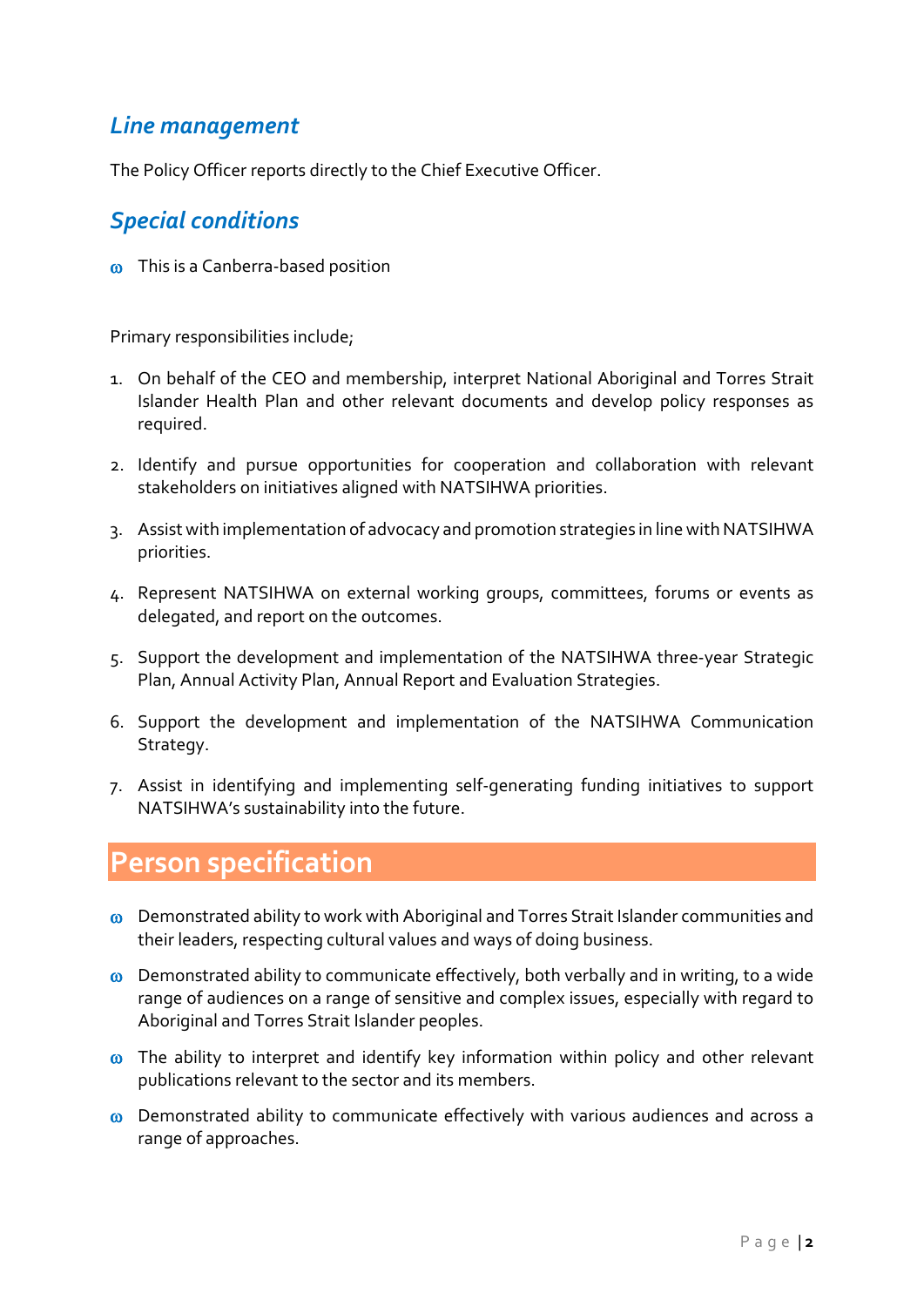### *Line management*

The Policy Officer reports directly to the Chief Executive Officer.

#### *Special conditions*

ω This is a Canberra-based position

Primary responsibilities include;

- 1. On behalf of the CEO and membership, interpret National Aboriginal and Torres Strait Islander Health Plan and other relevant documents and develop policy responses as required.
- 2. Identify and pursue opportunities for cooperation and collaboration with relevant stakeholders on initiatives aligned with NATSIHWA priorities.
- 3. Assist with implementation of advocacy and promotion strategies in line with NATSIHWA priorities.
- 4. Represent NATSIHWA on external working groups, committees, forums or events as delegated, and report on the outcomes.
- 5. Support the development and implementation of the NATSIHWA three-year Strategic Plan, Annual Activity Plan, Annual Report and Evaluation Strategies.
- 6. Support the development and implementation of the NATSIHWA Communication Strategy.
- 7. Assist in identifying and implementing self-generating funding initiatives to support NATSIHWA's sustainability into the future.

### **Person specification**

- ω Demonstrated ability to work with Aboriginal and Torres Strait Islander communities and their leaders, respecting cultural values and ways of doing business.
- ω Demonstrated ability to communicate effectively, both verbally and in writing, to a wide range of audiences on a range of sensitive and complex issues, especially with regard to Aboriginal and Torres Strait Islander peoples.
- ω The ability to interpret and identify key information within policy and other relevant publications relevant to the sector and its members.
- ω Demonstrated ability to communicate effectively with various audiences and across a range of approaches.